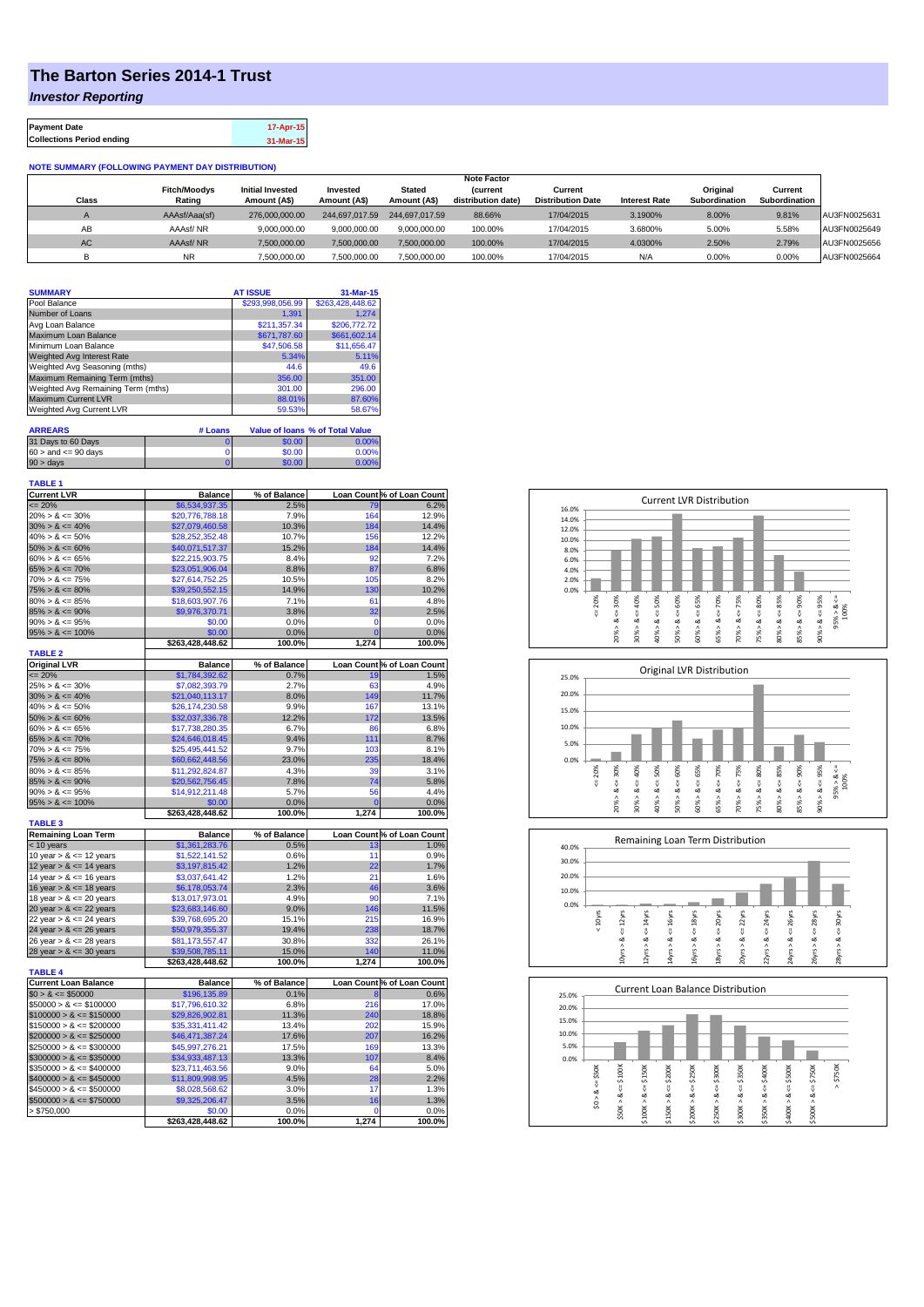## **The Barton Series 2014-1 Trust**

*Investor Reporting*

| <b>Payment Date</b>              | 17-Apr-15 |
|----------------------------------|-----------|
| <b>Collections Period ending</b> | 31-Mar-15 |

## **NOTE SUMMARY (FOLLOWING PAYMENT DAY DISTRIBUTION)**

|              |                     |                         |                |                | <b>Note Factor</b> |                          |                      |               |               |              |
|--------------|---------------------|-------------------------|----------------|----------------|--------------------|--------------------------|----------------------|---------------|---------------|--------------|
|              | <b>Fitch/Moodys</b> | <b>Initial Invested</b> | Invested       | Stated         | <b>Current</b>     | Current                  |                      | Original      | Current       |              |
| <b>Class</b> | Rating              | Amount (A\$)            | Amount (A\$)   | Amount (A\$)   | distribution date) | <b>Distribution Date</b> | <b>Interest Rate</b> | Subordination | Subordination |              |
|              | AAAsf/Aaa(sf)       | 276,000,000,00          | 244,697,017.59 | 244.697.017.59 | 88.66%             | 17/04/2015               | 3.1900%              | 8.00%         | 9.81%         | AU3FN0025631 |
| AB           | AAAsf/NR            | 9,000,000.00            | 9.000.000.00   | 9.000.000.00   | 100.00%            | 17/04/2015               | 3.6800%              | 5.00%         | 5.58%         | AU3FN0025649 |
| AC.          | AAAsf/NR            | 7,500,000.00            | 7.500.000.00   | 7.500.000.00   | 100.00%            | 17/04/2015               | 4.0300%              | 2.50%         | 2.79%         | AU3FN0025656 |
|              | <b>NR</b>           | ,500,000.00             | 7.500.000.00   | 7,500,000.00   | 100.00%            | 17/04/2015               | N/A                  | 0.00%         | 0.00%         | AU3FN0025664 |

| <b>SUMMARY</b>                     |         | <b>AT ISSUE</b>  | 31-Mar-15                       |
|------------------------------------|---------|------------------|---------------------------------|
| Pool Balance                       |         | \$293.998.056.99 | \$263.428.448.62                |
| Number of Loans                    |         | 1.391            | 1.274                           |
| Avg Loan Balance                   |         | \$211.357.34     | \$206,772.72                    |
| Maximum Loan Balance               |         | \$671,787.60     | \$661,602.14                    |
| Minimum Loan Balance               |         | \$47,506.58      | \$11,656.47                     |
| <b>Weighted Avg Interest Rate</b>  |         | 5.34%            | 5.11%                           |
| Weighted Avg Seasoning (mths)      |         | 44.6             | 49.6                            |
| Maximum Remaining Term (mths)      |         | 356.00           | 351.00                          |
| Weighted Avg Remaining Term (mths) |         | 301.00           | 296.00                          |
| <b>Maximum Current LVR</b>         |         | 88.01%           | 87.60%                          |
| Weighted Avg Current LVR           |         | 59.53%           | 58.67%                          |
|                                    |         |                  |                                 |
| <b>ARREARS</b>                     | # Loans |                  | Value of Ioans % of Total Value |
| 24 Dave to CO Dave                 | $\sim$  | 0000             | 0.0001                          |

| $60 >$ and $\leq 90$ days | \$0.00 | 0.00% |
|---------------------------|--------|-------|
| $90 > \text{days}$        | 60.00  | ገ በበ% |

| <b>TABLE 1</b>              |                  |              |                |                            |
|-----------------------------|------------------|--------------|----------------|----------------------------|
| <b>Current LVR</b>          | <b>Balance</b>   | % of Balance |                | Loan Count % of Loan Count |
| $= 20%$                     | \$6,534,937.35   | 2.5%         | 79             | 6.2%                       |
| $20\% > 8 \le 30\%$         | \$20,776,788.18  | 7.9%         | 164            | 12.9%                      |
| $30\% > 8 \le 40\%$         | \$27,079,460.58  | 10.3%        | 184            | 14.4%                      |
| $40\% > 8 \le 50\%$         | \$28,252,352.48  | 10.7%        | 156            | 12.2%                      |
| $50\% > 8 \le 60\%$         | \$40,071,517.37  | 15.2%        | 184            | 14.4%                      |
| $60\% > 8 \le 65\%$         | \$22,215,903.75  | 8.4%         | 92             | 7.2%                       |
| $65\% > 8 \le 70\%$         | \$23,051,906.04  | 8.8%         | 87             | 6.8%                       |
| $70\% > 8 \le 75\%$         | \$27,614,752.25  | 10.5%        | 105            | 8.2%                       |
| $75\% > 8 \le 80\%$         | \$39,250,552.15  | 14.9%        | 130            | 10.2%                      |
| $80\% > 8 \le 85\%$         | \$18,603,907.76  | 7.1%         | 61             | 4.8%                       |
| $85\% > 8 \le 90\%$         | \$9,976,370.71   | 3.8%         | 32             | 2.5%                       |
| $90\% > 8 \le 95\%$         | \$0.00           | 0.0%         | $\mathbf 0$    | 0.0%                       |
| $95\% > 8 \le 100\%$        | \$0.00           | 0.0%         | $\overline{0}$ | 0.0%                       |
|                             | \$263,428,448.62 | 100.0%       | 1,274          | 100.0%                     |
| <b>TABLE 2</b>              |                  |              |                |                            |
| <b>Original LVR</b>         | <b>Balance</b>   | % of Balance |                | Loan Count % of Loan Count |
| $= 20%$                     | \$1,784,392.62   | 0.7%         | 19             | 1.5%                       |
| $25\% > 8 \le 30\%$         | \$7,082,393.79   | 2.7%         | 63             | 4.9%                       |
| $30\% > 8 \le 40\%$         | \$21,040,113.17  | 8.0%         | 149            | 11.7%                      |
| $40\% > 8 \le 50\%$         | \$26,174,230.58  | 9.9%         | 167            | 13.1%                      |
| $50\% > 8 \le 60\%$         | \$32,037,336.78  | 12.2%        | 172            | 13.5%                      |
| $60\% > 8 \le 65\%$         | \$17,738,280.35  | 6.7%         | 86             | 6.8%                       |
| $65\% > 8 \le 70\%$         | \$24,646,018.45  | 9.4%         | 111            | 8.7%                       |
| $70\% > 8 \le 75\%$         | \$25.495.441.52  | 9.7%         | 103            | 8.1%                       |
| $75\% > 8 \le 80\%$         | \$60,662,448.56  | 23.0%        | 235            | 18.4%                      |
| $80\% > 8 \le 85\%$         | \$11,292,824.87  | 4.3%         | 39             | 3.1%                       |
| $85\% > 8 \le 90\%$         | \$20,562,756.45  | 7.8%         | 74             | 5.8%                       |
| $90\% > 8 \le 95\%$         | \$14,912,211.48  | 5.7%         | 56             | 4.4%                       |
| $95\% > 8 \le 100\%$        | \$0.00           | 0.0%         | $\overline{0}$ | 0.0%                       |
|                             | \$263,428,448.62 | 100.0%       | 1,274          | 100.0%                     |
| <b>TABLE 3</b>              |                  |              |                |                            |
| <b>Remaining Loan Term</b>  | <b>Balance</b>   | % of Balance |                | Loan Count % of Loan Count |
| $<$ 10 years                | \$1,361,283.76   | 0.5%         | 13             | 1.0%                       |
| 10 year $> 8 \le 12$ years  | \$1,522,141.52   | 0.6%         | 11             | 0.9%                       |
| 12 year $> 8 \le 14$ years  | \$3,197,815.42   | 1.2%         | 22             | 1.7%                       |
| 14 year $> 8 \le 16$ years  | \$3,037,641.42   | 1.2%         | 21             | 1.6%                       |
| 16 year $> 8 \le 18$ years  | \$6,178,053.74   | 2.3%         | 46             | 3.6%                       |
| 18 year $> 8 \le 20$ years  | \$13,017,973.01  | 4.9%         | 90             | 7.1%                       |
| 20 year $> 8 \le 22$ years  | \$23,683,146.60  | 9.0%         | 146            | 11.5%                      |
| 22 year $> 8 \le 24$ years  | \$39,768,695.20  | 15.1%        | 215            | 16.9%                      |
| 24 year $> 8 \le 26$ years  | \$50,979,355.37  | 19.4%        | 238            | 18.7%                      |
| 26 year $> 8 \le 28$ years  | \$81,173,557.47  | 30.8%        | 332            | 26.1%                      |
| 28 year $> 8 \le 30$ years  | \$39,508,785.11  | 15.0%        | 140            | 11.0%                      |
|                             | \$263,428,448.62 | 100.0%       | 1,274          | 100.0%                     |
| <b>TABLE 4</b>              |                  |              |                |                            |
| <b>Current Loan Balance</b> | <b>Balance</b>   | % of Balance |                | Loan Count % of Loan Count |
| $$0 > 8 \le $50000$         | \$196,135.89     | 0.1%         | 8              | 0.6%                       |
| $$50000 > 8 \le $100000$    | \$17,796,610.32  | 6.8%         | 216            | 17.0%                      |
| $$100000 > 8 \leq $150000$  | \$29,826,902.81  | 11.3%        | 240            | 18.8%                      |
| $$150000 > 8 \leq $200000$  | \$35,331,411.42  | 13.4%        | 202            | 15.9%                      |
| $$200000 > 8 \leq $250000$  | \$46,471,387.24  | 17.6%        | 207            | 16.2%                      |
| $$250000 > 8 \leq $300000$  | \$45,997,276.21  | 17.5%        | 169            | 13.3%                      |
| $$300000 > 8 \leq $350000$  | \$34,933,487.13  | 13.3%        | 107            | 8.4%                       |
| $$350000 > 8 \leq $400000$  | \$23,711,463.56  | 9.0%         | 64             | 5.0%                       |
| $$400000 > 8 \leq $450000$  | \$11,809,998.95  | 4.5%         | 28             | 2.2%                       |
| $$450000 > 8 \le $500000$   | \$8,028,568.62   | 3.0%         | 17             | 1.3%                       |
| $$500000 > 8 \leq $750000$  | \$9,325,206.47   | 3.5%         | 16             | 1.3%                       |
| > \$750,000                 | \$0.00           | 0.0%         | 0              | 0.0%                       |
|                             | \$263,428,448.62 | 100.0%       | 1,274          | 100.0%                     |
|                             |                  |              |                |                            |